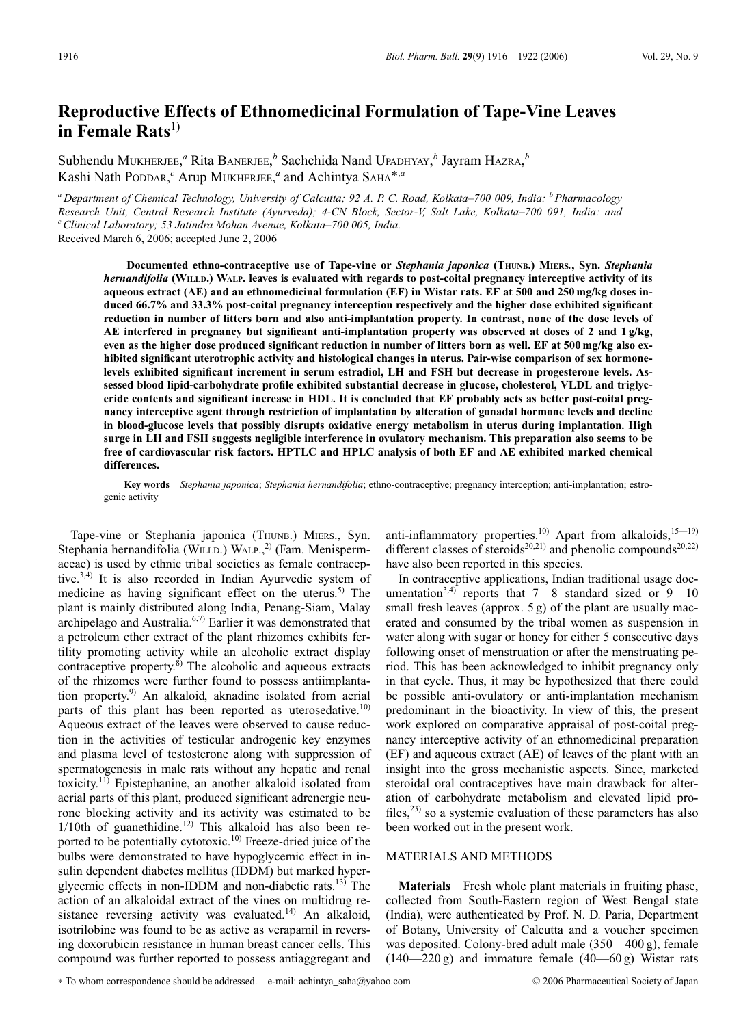# **Reproductive Effects of Ethnomedicinal Formulation of Tape-Vine Leaves in Female Rats**<sup>1)</sup>

Subhendu MUKHERJEE,<sup>*a*</sup> Rita BANERJEE,<sup>*b*</sup> Sachchida Nand UPADHYAY,<sup>*b*</sup> Jayram HAZRA,<sup>*b*</sup> Kashi Nath PODDAR, *<sup>c</sup>* Arup MUKHERJEE, *<sup>a</sup>* and Achintya SAHA\*,*<sup>a</sup>*

*<sup>a</sup> Department of Chemical Technology, University of Calcutta; 92 A. P. C. Road, Kolkata–700 009, India: <sup>b</sup> Pharmacology Research Unit, Central Research Institute (Ayurveda); 4-CN Block, Sector-V, Salt Lake, Kolkata–700 091, India: and cClinical Laboratory; 53 Jatindra Mohan Avenue, Kolkata–700 005, India.*

Received March 6, 2006; accepted June 2, 2006

**Documented ethno-contraceptive use of Tape-vine or** *Stephania japonica* **(THUNB.) MIERS***.***, Syn.** *Stephania hernandifolia* **(WILLD.) WALP. leaves is evaluated with regards to post-coital pregnancy interceptive activity of its aqueous extract (AE) and an ethnomedicinal formulation (EF) in Wistar rats. EF at 500 and 250 mg/kg doses induced 66.7% and 33.3% post-coital pregnancy interception respectively and the higher dose exhibited significant reduction in number of litters born and also anti-implantation property. In contrast, none of the dose levels of AE interfered in pregnancy but significant anti-implantation property was observed at doses of 2 and 1 g/kg, even as the higher dose produced significant reduction in number of litters born as well. EF at 500 mg/kg also exhibited significant uterotrophic activity and histological changes in uterus. Pair-wise comparison of sex hormonelevels exhibited significant increment in serum estradiol, LH and FSH but decrease in progesterone levels. Assessed blood lipid-carbohydrate profile exhibited substantial decrease in glucose, cholesterol, VLDL and triglyceride contents and significant increase in HDL. It is concluded that EF probably acts as better post-coital pregnancy interceptive agent through restriction of implantation by alteration of gonadal hormone levels and decline in blood-glucose levels that possibly disrupts oxidative energy metabolism in uterus during implantation. High surge in LH and FSH suggests negligible interference in ovulatory mechanism. This preparation also seems to be free of cardiovascular risk factors. HPTLC and HPLC analysis of both EF and AE exhibited marked chemical differences.**

**Key words** *Stephania japonica*; *Stephania hernandifolia*; ethno-contraceptive; pregnancy interception; anti-implantation; estrogenic activity

Tape-vine or Stephania japonica (THUNB.) MIERS., Syn. Stephania hernandifolia (WILLD.) WALP.,<sup>2)</sup> (Fam. Menispermaceae) is used by ethnic tribal societies as female contraceptive.<sup>3,4)</sup> It is also recorded in Indian Ayurvedic system of medicine as having significant effect on the uterus.<sup>5)</sup> The plant is mainly distributed along India, Penang-Siam, Malay archipelago and Australia.<sup>6,7)</sup> Earlier it was demonstrated that a petroleum ether extract of the plant rhizomes exhibits fertility promoting activity while an alcoholic extract display contraceptive property. $8$ ) The alcoholic and aqueous extracts of the rhizomes were further found to possess antiimplantation property.<sup>9)</sup> An alkaloid, aknadine isolated from aerial parts of this plant has been reported as uterosedative.<sup>10)</sup> Aqueous extract of the leaves were observed to cause reduction in the activities of testicular androgenic key enzymes and plasma level of testosterone along with suppression of spermatogenesis in male rats without any hepatic and renal toxicity.<sup>11)</sup> Epistephanine, an another alkaloid isolated from aerial parts of this plant, produced significant adrenergic neurone blocking activity and its activity was estimated to be  $1/10$ th of guanethidine.<sup>12)</sup> This alkaloid has also been reported to be potentially cytotoxic.<sup>10)</sup> Freeze-dried juice of the bulbs were demonstrated to have hypoglycemic effect in insulin dependent diabetes mellitus (IDDM) but marked hyperglycemic effects in non-IDDM and non-diabetic rats.<sup>13)</sup> The action of an alkaloidal extract of the vines on multidrug resistance reversing activity was evaluated.<sup>14)</sup> An alkaloid, isotrilobine was found to be as active as verapamil in reversing doxorubicin resistance in human breast cancer cells. This compound was further reported to possess antiaggregant and

anti-inflammatory properties.<sup>10)</sup> Apart from alkaloids,<sup>15-19)</sup> different classes of steroids<sup>20,21)</sup> and phenolic compounds<sup>20,22)</sup> have also been reported in this species.

In contraceptive applications, Indian traditional usage documentation<sup>3,4)</sup> reports that  $7-8$  standard sized or  $9-10$ small fresh leaves (approx. 5 g) of the plant are usually macerated and consumed by the tribal women as suspension in water along with sugar or honey for either 5 consecutive days following onset of menstruation or after the menstruating period. This has been acknowledged to inhibit pregnancy only in that cycle. Thus, it may be hypothesized that there could be possible anti-ovulatory or anti-implantation mechanism predominant in the bioactivity. In view of this, the present work explored on comparative appraisal of post-coital pregnancy interceptive activity of an ethnomedicinal preparation (EF) and aqueous extract (AE) of leaves of the plant with an insight into the gross mechanistic aspects. Since, marketed steroidal oral contraceptives have main drawback for alteration of carbohydrate metabolism and elevated lipid profiles,<sup>23)</sup> so a systemic evaluation of these parameters has also been worked out in the present work.

# MATERIALS AND METHODS

**Materials** Fresh whole plant materials in fruiting phase, collected from South-Eastern region of West Bengal state (India), were authenticated by Prof. N. D. Paria, Department of Botany, University of Calcutta and a voucher specimen was deposited. Colony-bred adult male (350—400 g), female  $(140-220 \text{ g})$  and immature female  $(40-60 \text{ g})$  Wistar rats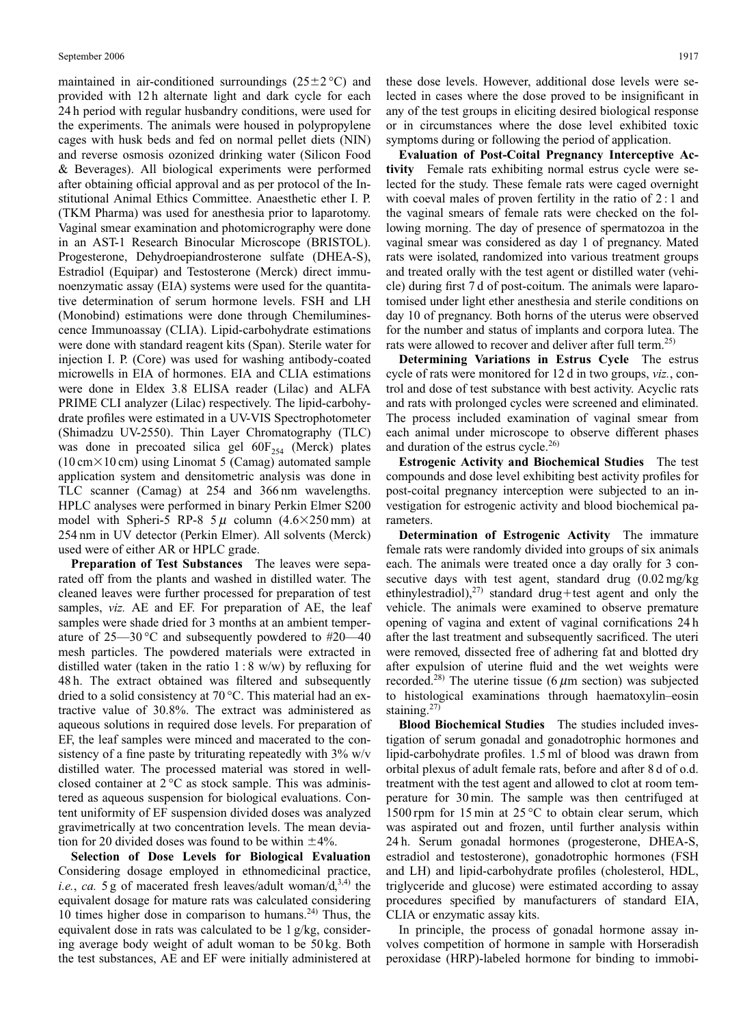maintained in air-conditioned surroundings  $(25\pm2\degree C)$  and provided with 12 h alternate light and dark cycle for each 24 h period with regular husbandry conditions, were used for the experiments. The animals were housed in polypropylene cages with husk beds and fed on normal pellet diets (NIN) and reverse osmosis ozonized drinking water (Silicon Food & Beverages). All biological experiments were performed after obtaining official approval and as per protocol of the Institutional Animal Ethics Committee. Anaesthetic ether I. P. (TKM Pharma) was used for anesthesia prior to laparotomy. Vaginal smear examination and photomicrography were done in an AST-1 Research Binocular Microscope (BRISTOL). Progesterone, Dehydroepiandrosterone sulfate (DHEA-S), Estradiol (Equipar) and Testosterone (Merck) direct immunoenzymatic assay (EIA) systems were used for the quantitative determination of serum hormone levels. FSH and LH (Monobind) estimations were done through Chemiluminescence Immunoassay (CLIA). Lipid-carbohydrate estimations were done with standard reagent kits (Span). Sterile water for injection I. P. (Core) was used for washing antibody-coated microwells in EIA of hormones. EIA and CLIA estimations were done in Eldex 3.8 ELISA reader (Lilac) and ALFA PRIME CLI analyzer (Lilac) respectively. The lipid-carbohydrate profiles were estimated in a UV-VIS Spectrophotometer (Shimadzu UV-2550). Thin Layer Chromatography (TLC) was done in precoated silica gel  $60F_{254}$  (Merck) plates  $(10 \text{ cm} \times 10 \text{ cm})$  using Linomat 5 (Camag) automated sample application system and densitometric analysis was done in TLC scanner (Camag) at 254 and 366 nm wavelengths. HPLC analyses were performed in binary Perkin Elmer S200 model with Spheri-5 RP-8  $5 \mu$  column (4.6×250 mm) at 254 nm in UV detector (Perkin Elmer). All solvents (Merck) used were of either AR or HPLC grade.

**Preparation of Test Substances** The leaves were separated off from the plants and washed in distilled water. The cleaned leaves were further processed for preparation of test samples, *viz.* AE and EF. For preparation of AE, the leaf samples were shade dried for 3 months at an ambient temperature of  $25-30$  °C and subsequently powdered to #20-40 mesh particles. The powdered materials were extracted in distilled water (taken in the ratio  $1:8$  w/w) by refluxing for 48 h. The extract obtained was filtered and subsequently dried to a solid consistency at 70 °C. This material had an extractive value of 30.8%. The extract was administered as aqueous solutions in required dose levels. For preparation of EF, the leaf samples were minced and macerated to the consistency of a fine paste by triturating repeatedly with  $3\%$  w/v distilled water. The processed material was stored in wellclosed container at  $2^{\circ}$ C as stock sample. This was administered as aqueous suspension for biological evaluations. Content uniformity of EF suspension divided doses was analyzed gravimetrically at two concentration levels. The mean deviation for 20 divided doses was found to be within  $\pm 4\%$ .

**Selection of Dose Levels for Biological Evaluation** Considering dosage employed in ethnomedicinal practice, *i.e.*, *ca.* 5 g of macerated fresh leaves/adult woman/ $d<sub>1</sub><sup>3,4</sup>$  the equivalent dosage for mature rats was calculated considering 10 times higher dose in comparison to humans. $24$ ) Thus, the equivalent dose in rats was calculated to be 1 g/kg, considering average body weight of adult woman to be 50 kg. Both the test substances, AE and EF were initially administered at these dose levels. However, additional dose levels were selected in cases where the dose proved to be insignificant in any of the test groups in eliciting desired biological response or in circumstances where the dose level exhibited toxic symptoms during or following the period of application.

**Evaluation of Post-Coital Pregnancy Interceptive Activity** Female rats exhibiting normal estrus cycle were selected for the study. These female rats were caged overnight with coeval males of proven fertility in the ratio of 2 : 1 and the vaginal smears of female rats were checked on the following morning. The day of presence of spermatozoa in the vaginal smear was considered as day 1 of pregnancy. Mated rats were isolated, randomized into various treatment groups and treated orally with the test agent or distilled water (vehicle) during first 7 d of post-coitum. The animals were laparotomised under light ether anesthesia and sterile conditions on day 10 of pregnancy. Both horns of the uterus were observed for the number and status of implants and corpora lutea. The rats were allowed to recover and deliver after full term.<sup>25)</sup>

**Determining Variations in Estrus Cycle** The estrus cycle of rats were monitored for 12 d in two groups, *viz.*, control and dose of test substance with best activity. Acyclic rats and rats with prolonged cycles were screened and eliminated. The process included examination of vaginal smear from each animal under microscope to observe different phases and duration of the estrus cycle. $^{26)}$ 

**Estrogenic Activity and Biochemical Studies** The test compounds and dose level exhibiting best activity profiles for post-coital pregnancy interception were subjected to an investigation for estrogenic activity and blood biochemical parameters.

**Determination of Estrogenic Activity** The immature female rats were randomly divided into groups of six animals each. The animals were treated once a day orally for 3 consecutive days with test agent, standard drug (0.02 mg/kg ethinylestradiol),<sup>27)</sup> standard drug+test agent and only the vehicle. The animals were examined to observe premature opening of vagina and extent of vaginal cornifications 24 h after the last treatment and subsequently sacrificed. The uteri were removed, dissected free of adhering fat and blotted dry after expulsion of uterine fluid and the wet weights were recorded.<sup>28)</sup> The uterine tissue (6  $\mu$ m section) was subjected to histological examinations through haematoxylin–eosin staining.<sup>27)</sup>

**Blood Biochemical Studies** The studies included investigation of serum gonadal and gonadotrophic hormones and lipid-carbohydrate profiles. 1.5 ml of blood was drawn from orbital plexus of adult female rats, before and after 8 d of o.d. treatment with the test agent and allowed to clot at room temperature for 30 min. The sample was then centrifuged at 1500 rpm for 15 min at 25 °C to obtain clear serum, which was aspirated out and frozen, until further analysis within 24 h. Serum gonadal hormones (progesterone, DHEA-S, estradiol and testosterone), gonadotrophic hormones (FSH and LH) and lipid-carbohydrate profiles (cholesterol, HDL, triglyceride and glucose) were estimated according to assay procedures specified by manufacturers of standard EIA, CLIA or enzymatic assay kits.

In principle, the process of gonadal hormone assay involves competition of hormone in sample with Horseradish peroxidase (HRP)-labeled hormone for binding to immobi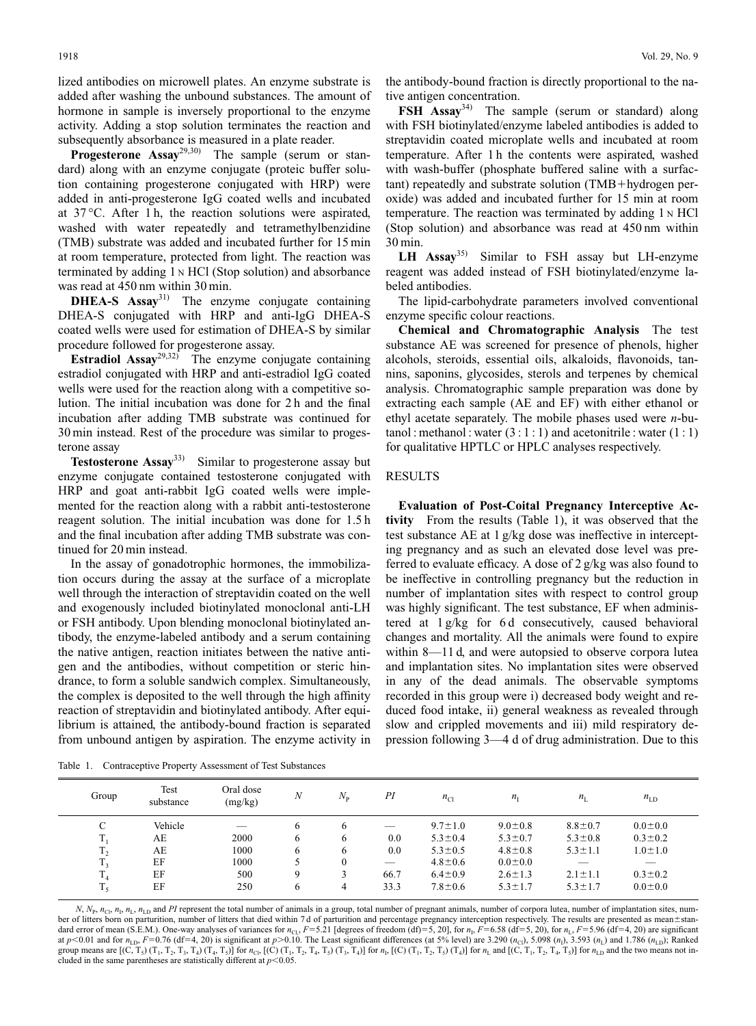lized antibodies on microwell plates. An enzyme substrate is added after washing the unbound substances. The amount of hormone in sample is inversely proportional to the enzyme activity. Adding a stop solution terminates the reaction and subsequently absorbance is measured in a plate reader.

**Progesterone Assay**29,30) The sample (serum or standard) along with an enzyme conjugate (proteic buffer solution containing progesterone conjugated with HRP) were added in anti-progesterone IgG coated wells and incubated at 37 °C. After 1 h, the reaction solutions were aspirated, washed with water repeatedly and tetramethylbenzidine (TMB) substrate was added and incubated further for 15 min at room temperature, protected from light. The reaction was terminated by adding 1 <sup>N</sup> HCl (Stop solution) and absorbance was read at 450 nm within 30 min.

**DHEA-S Assay**31) The enzyme conjugate containing DHEA-S conjugated with HRP and anti-IgG DHEA-S coated wells were used for estimation of DHEA-S by similar procedure followed for progesterone assay.

**Estradiol Assay**<sup>29,32</sup> The enzyme conjugate containing estradiol conjugated with HRP and anti-estradiol IgG coated wells were used for the reaction along with a competitive solution. The initial incubation was done for 2 h and the final incubation after adding TMB substrate was continued for 30 min instead. Rest of the procedure was similar to progesterone assay

**Testosterone Assay**33) Similar to progesterone assay but enzyme conjugate contained testosterone conjugated with HRP and goat anti-rabbit IgG coated wells were implemented for the reaction along with a rabbit anti-testosterone reagent solution. The initial incubation was done for 1.5 h and the final incubation after adding TMB substrate was continued for 20 min instead.

In the assay of gonadotrophic hormones, the immobilization occurs during the assay at the surface of a microplate well through the interaction of streptavidin coated on the well and exogenously included biotinylated monoclonal anti-LH or FSH antibody. Upon blending monoclonal biotinylated antibody, the enzyme-labeled antibody and a serum containing the native antigen, reaction initiates between the native antigen and the antibodies, without competition or steric hindrance, to form a soluble sandwich complex. Simultaneously, the complex is deposited to the well through the high affinity reaction of streptavidin and biotinylated antibody. After equilibrium is attained, the antibody-bound fraction is separated from unbound antigen by aspiration. The enzyme activity in

the antibody-bound fraction is directly proportional to the native antigen concentration.

**FSH Assay**34) The sample (serum or standard) along with FSH biotinylated/enzyme labeled antibodies is added to streptavidin coated microplate wells and incubated at room temperature. After 1 h the contents were aspirated, washed with wash-buffer (phosphate buffered saline with a surfac $t$ ant) repeatedly and substrate solution (TMB+hydrogen peroxide) was added and incubated further for 15 min at room temperature. The reaction was terminated by adding 1 <sup>N</sup> HCl (Stop solution) and absorbance was read at 450 nm within 30 min.

**LH Assay**35) Similar to FSH assay but LH-enzyme reagent was added instead of FSH biotinylated/enzyme labeled antibodies.

The lipid-carbohydrate parameters involved conventional enzyme specific colour reactions.

**Chemical and Chromatographic Analysis** The test substance AE was screened for presence of phenols, higher alcohols, steroids, essential oils, alkaloids, flavonoids, tannins, saponins, glycosides, sterols and terpenes by chemical analysis. Chromatographic sample preparation was done by extracting each sample (AE and EF) with either ethanol or ethyl acetate separately. The mobile phases used were *n*-butanol : methanol : water  $(3:1:1)$  and acetonitrile : water  $(1:1)$ for qualitative HPTLC or HPLC analyses respectively.

## RESULTS

**Evaluation of Post-Coital Pregnancy Interceptive Activity** From the results (Table 1), it was observed that the test substance AE at 1 g/kg dose was ineffective in intercepting pregnancy and as such an elevated dose level was preferred to evaluate efficacy. A dose of 2 g/kg was also found to be ineffective in controlling pregnancy but the reduction in number of implantation sites with respect to control group was highly significant. The test substance, EF when administered at  $1 g/kg$  for 6 d consecutively, caused behavioral changes and mortality. All the animals were found to expire within 8—11 d, and were autopsied to observe corpora lutea and implantation sites. No implantation sites were observed in any of the dead animals. The observable symptoms recorded in this group were i) decreased body weight and reduced food intake, ii) general weakness as revealed through slow and crippled movements and iii) mild respiratory depression following 3—4 d of drug administration. Due to this

Table 1. Contraceptive Property Assessment of Test Substances

| Group               | Test<br>substance | Oral dose<br>(mg/kg) | $\boldsymbol{N}$ | $N_{\rm p}$  | PI                       | $n_{\text{Cl}}$ | $n_{\rm I}$   | $n_{\rm L}$              | $n_{LD}$      |
|---------------------|-------------------|----------------------|------------------|--------------|--------------------------|-----------------|---------------|--------------------------|---------------|
| C                   | Vehicle           | __                   | 6                | <sub>b</sub> | __                       | $9.7 \pm 1.0$   | $9.0 \pm 0.8$ | $8.8 \pm 0.7$            | $0.0{\pm}0.0$ |
| T                   | AE                | 2000                 | 6                | <sub>b</sub> | 0.0                      | $5.3 \pm 0.4$   | $5.3 \pm 0.7$ | $5.3 \pm 0.8$            | $0.3 \pm 0.2$ |
| T<br>1 <sub>2</sub> | AE                | 1000                 | 6                | <sub>b</sub> | 0.0                      | $5.3 \pm 0.5$   | $4.8 \pm 0.8$ | $5.3 \pm 1.1$            | $1.0 \pm 1.0$ |
| T <sub>3</sub>      | EF                | 1000                 |                  | $\Omega$     | $\overline{\phantom{a}}$ | $4.8 \pm 0.6$   | $0.0{\pm}0.0$ | $\overline{\phantom{a}}$ | _             |
| T<br>$\mathbf{1}_4$ | EF                | 500                  | $\mathbf Q$      |              | 66.7                     | $6.4 \pm 0.9$   | $2.6 \pm 1.3$ | $2.1 \pm 1.1$            | $0.3 \pm 0.2$ |
| $T_{\rm s}$         | EF                | 250                  | 6                | 4            | 33.3                     | $7.8 \pm 0.6$   | $5.3 \pm 1.7$ | $5.3 \pm 1.7$            | $0.0{\pm}0.0$ |

 $N$ ,  $N_p$ ,  $n_c$ ,  $n_l$ ,  $n_L$ , and *PI* represent the total number of animals in a group, total number of pregnant animals, number of corpora lutea, number of implantation sites, number of litters born on parturition, number of litters that died within 7 d of parturition and percentage pregnancy interception respectively. The results are presented as mean±standard error of mean (S.E.M.). One-way analyses of variances for  $n_{\text{Cl}}$ ,  $F=5.21$  [degrees of freedom (df)=5, 20], for  $n_{\text{I}}$ ,  $F=6.58$  (df=5, 20), for  $n_{\text{I}}$ ,  $F=5.96$  (df=4, 20) are significant at  $p < 0.01$  and for  $n_{\text{LD}}$ ,  $F = 0.76$  (df=4, 20) is significant at  $p > 0.10$ . The Least significant differences (at 5% level) are 3.290 ( $n_{\text{Cl}}$ ), 5.098 ( $n_{\text{L}}$ ), 3.593 ( $n_{\text{L}}$ ) and 1.786 ( $n_{\text{LD}}$ ); Ranked group means are  $[(C, T_5) (T_1, T_2, T_3, T_4) (T_4, T_5)]$  for  $n_{\text{CL}} [(C) (T_1, T_2, T_4, T_5) (T_3, T_4)]$  for  $n_{\text{L}} [C) (T_1, T_2, T_5) (T_4)]$  for  $n_{\text{L}}$  and  $[(C, T_1, T_2, T_4, T_5)]$  for  $n_{\text{L}}$  and the two means not included in the same parentheses are statistically different at  $p<0.05$ .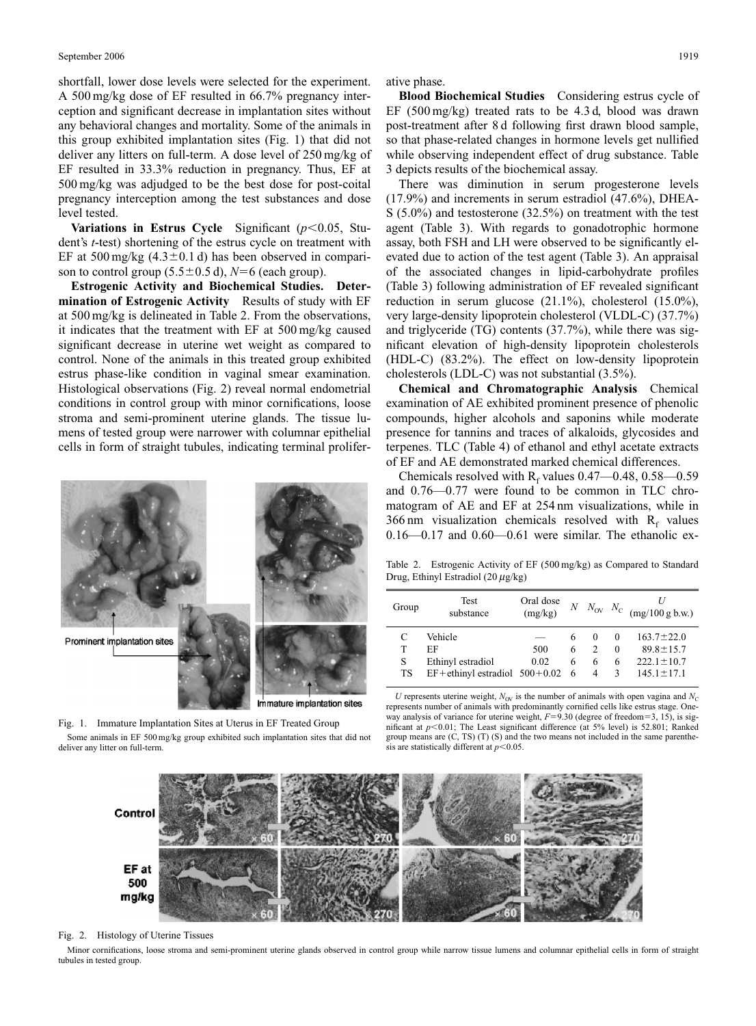shortfall, lower dose levels were selected for the experiment. A 500 mg/kg dose of EF resulted in 66.7% pregnancy interception and significant decrease in implantation sites without any behavioral changes and mortality. Some of the animals in this group exhibited implantation sites (Fig. 1) that did not deliver any litters on full-term. A dose level of 250 mg/kg of EF resulted in 33.3% reduction in pregnancy. Thus, EF at 500 mg/kg was adjudged to be the best dose for post-coital pregnancy interception among the test substances and dose level tested.

**Variations in Estrus Cycle** Significant  $(p<0.05$ , Student's *t*-test) shortening of the estrus cycle on treatment with EF at 500 mg/kg  $(4.3 \pm 0.1 \text{ d})$  has been observed in comparison to control group  $(5.5\pm0.5 \text{ d})$ ,  $N=6$  (each group).

**Estrogenic Activity and Biochemical Studies. Determination of Estrogenic Activity** Results of study with EF at 500 mg/kg is delineated in Table 2. From the observations, it indicates that the treatment with EF at 500 mg/kg caused significant decrease in uterine wet weight as compared to control. None of the animals in this treated group exhibited estrus phase-like condition in vaginal smear examination. Histological observations (Fig. 2) reveal normal endometrial conditions in control group with minor cornifications, loose stroma and semi-prominent uterine glands. The tissue lumens of tested group were narrower with columnar epithelial cells in form of straight tubules, indicating terminal prolifer-



Fig. 1. Immature Implantation Sites at Uterus in EF Treated Group Some animals in EF 500 mg/kg group exhibited such implantation sites that did not deliver any litter on full-term.

ative phase.

**Blood Biochemical Studies** Considering estrus cycle of EF (500 mg/kg) treated rats to be 4.3 d, blood was drawn post-treatment after 8 d following first drawn blood sample, so that phase-related changes in hormone levels get nullified while observing independent effect of drug substance. Table 3 depicts results of the biochemical assay.

There was diminution in serum progesterone levels (17.9%) and increments in serum estradiol (47.6%), DHEA-S (5.0%) and testosterone (32.5%) on treatment with the test agent (Table 3). With regards to gonadotrophic hormone assay, both FSH and LH were observed to be significantly elevated due to action of the test agent (Table 3). An appraisal of the associated changes in lipid-carbohydrate profiles (Table 3) following administration of EF revealed significant reduction in serum glucose (21.1%), cholesterol (15.0%), very large-density lipoprotein cholesterol (VLDL-C) (37.7%) and triglyceride (TG) contents (37.7%), while there was significant elevation of high-density lipoprotein cholesterols (HDL-C) (83.2%). The effect on low-density lipoprotein cholesterols (LDL-C) was not substantial (3.5%).

**Chemical and Chromatographic Analysis** Chemical examination of AE exhibited prominent presence of phenolic compounds, higher alcohols and saponins while moderate presence for tannins and traces of alkaloids, glycosides and terpenes. TLC (Table 4) of ethanol and ethyl acetate extracts of EF and AE demonstrated marked chemical differences.

Chemicals resolved with  $R_f$  values 0.47—0.48, 0.58—0.59 and 0.76—0.77 were found to be common in TLC chromatogram of AE and EF at 254 nm visualizations, while in 366 nm visualization chemicals resolved with  $R_f$  values 0.16—0.17 and 0.60—0.61 were similar. The ethanolic ex-

Table 2. Estrogenic Activity of EF (500 mg/kg) as Compared to Standard Drug, Ethinyl Estradiol (20  $\mu$ g/kg)

| Group   | <b>Test</b><br>substance                               | Oral dose<br>(mg/kg) |          |                           |                      | $N$ $N_{\text{OV}}$ $N_{\text{C}}$ (mg/100 g b.w.) |
|---------|--------------------------------------------------------|----------------------|----------|---------------------------|----------------------|----------------------------------------------------|
| T       | Vehicle<br>ЕF                                          | 500                  | 6<br>6   | $\Omega$<br>$\mathcal{P}$ | $\Omega$<br>$\Omega$ | $163.7 \pm 22.0$<br>$89.8 \pm 15.7$                |
| S<br>TS | Ethinyl estradiol<br>$EF +$ ethinyl estradiol 500+0.02 | 0.02                 | 6<br>- 6 | 6<br>$\overline{4}$       | 6<br>$\mathcal{R}$   | $222.1 \pm 10.7$<br>$145.1 \pm 17.1$               |

*U* represents uterine weight,  $N_{\text{OV}}$  is the number of animals with open vagina and  $N_{\text{C}}$ represents number of animals with predominantly cornified cells like estrus stage. Oneway analysis of variance for uterine weight,  $F=9.30$  (degree of freedom=3, 15), is significant at  $p<0.01$ ; The Least significant difference (at 5% level) is 52.801; Ranked group means are (C, TS) (T) (S) and the two means not included in the same parenthesis are statistically different at  $p<0.05$ .



Fig. 2. Histology of Uterine Tissues

Minor cornifications, loose stroma and semi-prominent uterine glands observed in control group while narrow tissue lumens and columnar epithelial cells in form of straight tubules in tested group.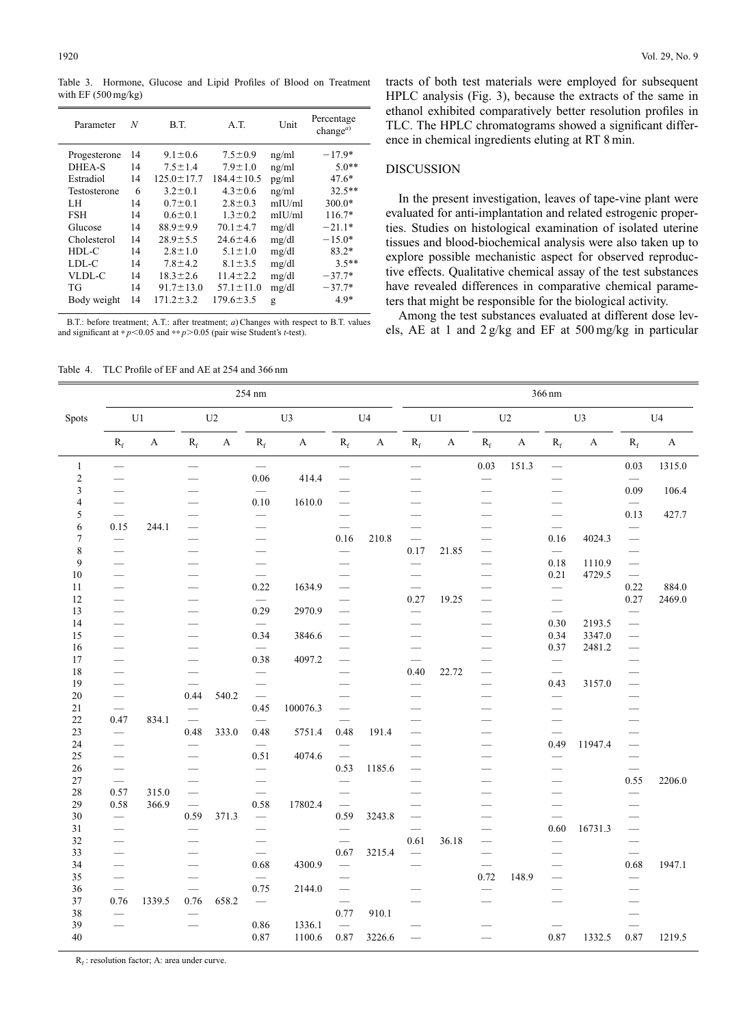Table 3. Hormone, Glucose and Lipid Profiles of Blood on Treatment with EF (500 mg/kg)

| Parameter    | N  | B.T.             | A.T.             | Unit      | Percentage<br>change <sup><i>a</i>)</sup> |
|--------------|----|------------------|------------------|-----------|-------------------------------------------|
| Progesterone | 14 | $9.1 \pm 0.6$    | $7.5 \pm 0.9$    | ng/ml     | $-17.9*$                                  |
| DHEA-S       | 14 | $7.5 \pm 1.4$    | $7.9 \pm 1.0$    | ng/ml     | $5.0**$                                   |
| Estradiol    | 14 | $125.0 \pm 17.7$ | $184.4 \pm 10.5$ | pg/ml     | $47.6*$                                   |
| Testosterone | 6  | $3.2 \pm 0.1$    | $4.3 \pm 0.6$    | ng/ml     | $32.5**$                                  |
| LH           | 14 | $0.7 \pm 0.1$    | $2.8 \pm 0.3$    | $m$ IU/ml | $300.0*$                                  |
| <b>FSH</b>   | 14 | $0.6 \pm 0.1$    | $1.3 \pm 0.2$    | $m$ IU/ml | $116.7*$                                  |
| Glucose      | 14 | $88.9 \pm 9.9$   | $70.1 \pm 4.7$   | mg/dl     | $-21.1*$                                  |
| Cholesterol  | 14 | $28.9 \pm 5.5$   | $24.6 \pm 4.6$   | mg/dl     | $-15.0*$                                  |
| HDL-C        | 14 | $2.8 \pm 1.0$    | $5.1 \pm 1.0$    | mg/dl     | $83.2*$                                   |
| LDL-C        | 14 | $7.8 \pm 4.2$    | $8.1 \pm 3.5$    | mg/dl     | $3.5**$                                   |
| VLDL-C       | 14 | $18.3 \pm 2.6$   | $11.4 \pm 2.2$   | mg/dl     | $-37.7*$                                  |
| TG           | 14 | $91.7 \pm 13.0$  | $57.1 \pm 11.0$  | mg/dl     | $-37.7*$                                  |
| Body weight  | 14 | $171.2 \pm 3.2$  | $179.6 \pm 3.5$  | g         | $4.9*$                                    |

B.T.: before treatment; A.T.: after treatment; *a*) Changes with respect to B.T. values and significant at \* $p$ <0.05 and \*\* $p$ >0.05 (pair wise Student's *t*-test).

tracts of both test materials were employed for subsequent HPLC analysis (Fig. 3), because the extracts of the same in ethanol exhibited comparatively better resolution profiles in TLC. The HPLC chromatograms showed a significant difference in chemical ingredients eluting at RT 8 min.

#### DISCUSSION

In the present investigation, leaves of tape-vine plant were evaluated for anti-implantation and related estrogenic properties. Studies on histological examination of isolated uterine tissues and blood-biochemical analysis were also taken up to explore possible mechanistic aspect for observed reproductive effects. Qualitative chemical assay of the test substances have revealed differences in comparative chemical parameters that might be responsible for the biological activity.

Among the test substances evaluated at different dose levels, AE at 1 and 2 g/kg and EF at 500 mg/kg in particular

Table 4. TLC Profile of EF and AE at 254 and 366 nm

|                | 254 nm                          |                       |                                                                                                                                                                                                                                |             |                                   |             |                          | 366 nm                    |                                 |              |                         |              |                                  |                       |                          |              |
|----------------|---------------------------------|-----------------------|--------------------------------------------------------------------------------------------------------------------------------------------------------------------------------------------------------------------------------|-------------|-----------------------------------|-------------|--------------------------|---------------------------|---------------------------------|--------------|-------------------------|--------------|----------------------------------|-----------------------|--------------------------|--------------|
| Spots          | $\mathop{\mathrm{U}}\nolimits1$ |                       | U <sub>2</sub>                                                                                                                                                                                                                 |             | U3                                |             | U <sub>4</sub>           |                           | $\mathop{\mathrm{U}}\nolimits1$ |              | U <sub>2</sub>          |              | U <sub>3</sub>                   |                       | U <sub>4</sub>           |              |
|                | $\mathbf{R}_\mathrm{f}$         | $\boldsymbol{\rm{A}}$ | $\mathbf{R}_\mathrm{f}$                                                                                                                                                                                                        | $\mathbf A$ | $\rm R_{\rm f}$                   | $\mathbf A$ | $\mathbf{R}_\mathrm{f}$  | $\boldsymbol{\mathsf{A}}$ | $R_f$                           | $\mathbf{A}$ | $\mathbf{R}_\mathrm{f}$ | $\mathbf{A}$ | $\mathbf{R}_\mathrm{f}$          | $\boldsymbol{\rm{A}}$ | $\rm R_{\rm f}$          | $\mathbf{A}$ |
| $\mathbf{1}$   |                                 |                       |                                                                                                                                                                                                                                |             |                                   |             | $\overline{\phantom{0}}$ |                           | $\overline{\phantom{0}}$        |              | 0.03                    | 151.3        | $\overline{\phantom{0}}$         |                       | $0.03\,$                 | 1315.0       |
| $\sqrt{2}$     |                                 |                       |                                                                                                                                                                                                                                |             | 0.06                              | 414.4       | $\overline{\phantom{0}}$ |                           |                                 |              |                         |              |                                  |                       | $\overline{\phantom{0}}$ |              |
| 3              |                                 |                       |                                                                                                                                                                                                                                |             | $\overline{\phantom{0}}$          |             |                          |                           |                                 |              |                         |              |                                  |                       | 0.09                     | 106.4        |
| $\overline{4}$ |                                 |                       |                                                                                                                                                                                                                                |             | 0.10                              | 1610.0      |                          |                           |                                 |              |                         |              |                                  |                       | $\overline{\phantom{0}}$ |              |
| 5<br>6         | 0.15                            | 244.1                 |                                                                                                                                                                                                                                |             |                                   |             | $\overline{\phantom{0}}$ |                           |                                 |              |                         |              | $\overline{\phantom{0}}$         |                       | 0.13                     | 427.7        |
| 7              | $\overbrace{\phantom{12333}}$   |                       |                                                                                                                                                                                                                                |             |                                   |             | 0.16                     | 210.8                     |                                 |              |                         |              | 0.16                             | 4024.3                |                          |              |
| $\,$ 8 $\,$    |                                 |                       |                                                                                                                                                                                                                                |             |                                   |             |                          |                           | 0.17                            | 21.85        |                         |              |                                  |                       |                          |              |
| 9              |                                 |                       |                                                                                                                                                                                                                                |             | $\overline{\phantom{0}}$          |             |                          |                           | $\overline{\phantom{0}}$        |              |                         |              | 0.18                             | 1110.9                | $\overline{\phantom{0}}$ |              |
| 10             |                                 |                       |                                                                                                                                                                                                                                |             | $\overbrace{\phantom{12333}}$     |             |                          |                           |                                 |              |                         |              | 0.21                             | 4729.5                | $\frac{1}{1-\epsilon}$   |              |
| 11             |                                 |                       |                                                                                                                                                                                                                                |             | 0.22                              | 1634.9      | $\overline{\phantom{0}}$ |                           |                                 |              |                         |              | $\overbrace{\phantom{123321}}$   |                       | 0.22                     | 884.0        |
| 12             |                                 |                       |                                                                                                                                                                                                                                |             |                                   |             |                          |                           | 0.27                            | 19.25        |                         |              | $\overbrace{\phantom{12333}}$    |                       | 0.27                     | 2469.0       |
| 13             |                                 |                       | and the contract of the contract of the contract of the contract of the contract of the contract of the contract of the contract of the contract of the contract of the contract of the contract of the contract of the contra |             | 0.29                              | 2970.9      |                          |                           |                                 |              |                         |              |                                  |                       |                          |              |
| 14             |                                 |                       |                                                                                                                                                                                                                                |             |                                   |             |                          |                           |                                 |              |                         |              | 0.30                             | 2193.5                | $\overline{\phantom{0}}$ |              |
| 15             |                                 |                       |                                                                                                                                                                                                                                |             | 0.34                              | 3846.6      | $\overline{\phantom{0}}$ |                           |                                 |              |                         |              | 0.34                             | 3347.0                |                          |              |
| 16             |                                 |                       |                                                                                                                                                                                                                                |             |                                   |             |                          |                           |                                 |              | -                       |              | 0.37                             | 2481.2                |                          |              |
| 17             |                                 |                       |                                                                                                                                                                                                                                |             | 0.38                              | 4097.2      |                          |                           |                                 |              |                         |              | $\overline{\phantom{0}}$         |                       |                          |              |
| 18             |                                 |                       | $\overline{\phantom{a}}$                                                                                                                                                                                                       |             | $\overbrace{\phantom{12333}}$     |             |                          |                           | 0.40                            | 22.72        |                         |              |                                  |                       |                          |              |
| 19             |                                 |                       |                                                                                                                                                                                                                                |             |                                   |             |                          |                           |                                 |              |                         |              | 0.43                             | 3157.0                |                          |              |
| 20             |                                 |                       | 0.44                                                                                                                                                                                                                           | 540.2       |                                   |             |                          |                           |                                 |              |                         |              |                                  |                       |                          |              |
| 21             |                                 |                       |                                                                                                                                                                                                                                |             | 0.45                              | 100076.3    |                          |                           |                                 |              |                         |              | $\overline{\phantom{0}}$         |                       |                          |              |
| 22             | 0.47                            | 834.1                 |                                                                                                                                                                                                                                |             | $\overline{\phantom{m}}$          |             |                          |                           |                                 |              |                         |              | -                                |                       |                          |              |
| 23             |                                 |                       | 0.48                                                                                                                                                                                                                           | 333.0       | 0.48                              | 5751.4      | 0.48                     | 191.4                     |                                 |              |                         |              | $\overline{\phantom{0}}$<br>0.49 |                       |                          |              |
| 24<br>25       |                                 |                       |                                                                                                                                                                                                                                |             | 0.51                              | 4074.6      |                          |                           |                                 |              |                         |              |                                  | 11947.4               | $\overline{\phantom{0}}$ |              |
| 26             |                                 |                       |                                                                                                                                                                                                                                |             |                                   |             | 0.53                     | 1185.6                    |                                 |              |                         |              |                                  |                       |                          |              |
| 27             | $\overbrace{\qquad \qquad }^{}$ |                       | $\overline{\phantom{0}}$                                                                                                                                                                                                       |             |                                   |             |                          |                           |                                 |              |                         |              | $\overline{\phantom{0}}$         |                       | 0.55                     | 2206.0       |
| 28             | 0.57                            | 315.0                 |                                                                                                                                                                                                                                |             |                                   |             |                          |                           |                                 |              |                         |              |                                  |                       | $\overline{\phantom{0}}$ |              |
| 29             | 0.58                            | 366.9                 |                                                                                                                                                                                                                                |             | 0.58                              | 17802.4     | $\overline{\phantom{0}}$ |                           |                                 |              |                         |              |                                  |                       |                          |              |
| 30             |                                 |                       | 0.59                                                                                                                                                                                                                           | 371.3       | $\overbrace{\phantom{123221111}}$ |             | 0.59                     | 3243.8                    |                                 |              |                         |              | $\overline{\phantom{0}}$         |                       |                          |              |
| 31             |                                 |                       |                                                                                                                                                                                                                                |             |                                   |             |                          |                           |                                 |              |                         |              | 0.60                             | 16731.3               |                          |              |
| 32             |                                 |                       |                                                                                                                                                                                                                                |             |                                   |             |                          |                           | 0.61                            | 36.18        |                         |              | $\qquad \qquad$                  |                       |                          |              |
| 33             |                                 |                       |                                                                                                                                                                                                                                |             |                                   |             | 0.67                     | 3215.4                    |                                 |              |                         |              | $\overline{\phantom{0}}$         |                       | $\overline{\phantom{0}}$ |              |
| 34             |                                 |                       |                                                                                                                                                                                                                                |             | 0.68                              | 4300.9      | $\overline{\phantom{0}}$ |                           | $\overline{\phantom{0}}$        |              |                         |              |                                  |                       | 0.68                     | 1947.1       |
| 35             |                                 |                       |                                                                                                                                                                                                                                |             |                                   |             |                          |                           |                                 |              | 0.72                    | 148.9        | $\overline{\phantom{0}}$         |                       |                          |              |
| 36             |                                 |                       |                                                                                                                                                                                                                                |             | 0.75                              | 2144.0      |                          |                           |                                 |              |                         |              |                                  |                       |                          |              |
| 37             | 0.76                            | 1339.5                | 0.76                                                                                                                                                                                                                           | 658.2       | $\overbrace{\qquad \qquad }^{}$   |             |                          |                           |                                 |              |                         |              |                                  |                       |                          |              |
| 38             |                                 |                       |                                                                                                                                                                                                                                |             |                                   |             | 0.77                     | 910.1                     |                                 |              |                         |              |                                  |                       |                          |              |
| 39             |                                 |                       |                                                                                                                                                                                                                                |             | 0.86                              | 1336.1      |                          |                           |                                 |              |                         |              |                                  |                       |                          |              |
| 40             |                                 |                       |                                                                                                                                                                                                                                |             | 0.87                              | 1100.6      | $0.87\,$                 | 3226.6                    |                                 |              |                         |              | 0.87                             | 1332.5                | 0.87                     | 1219.5       |

 $R_f$ : resolution factor; A: area under curve.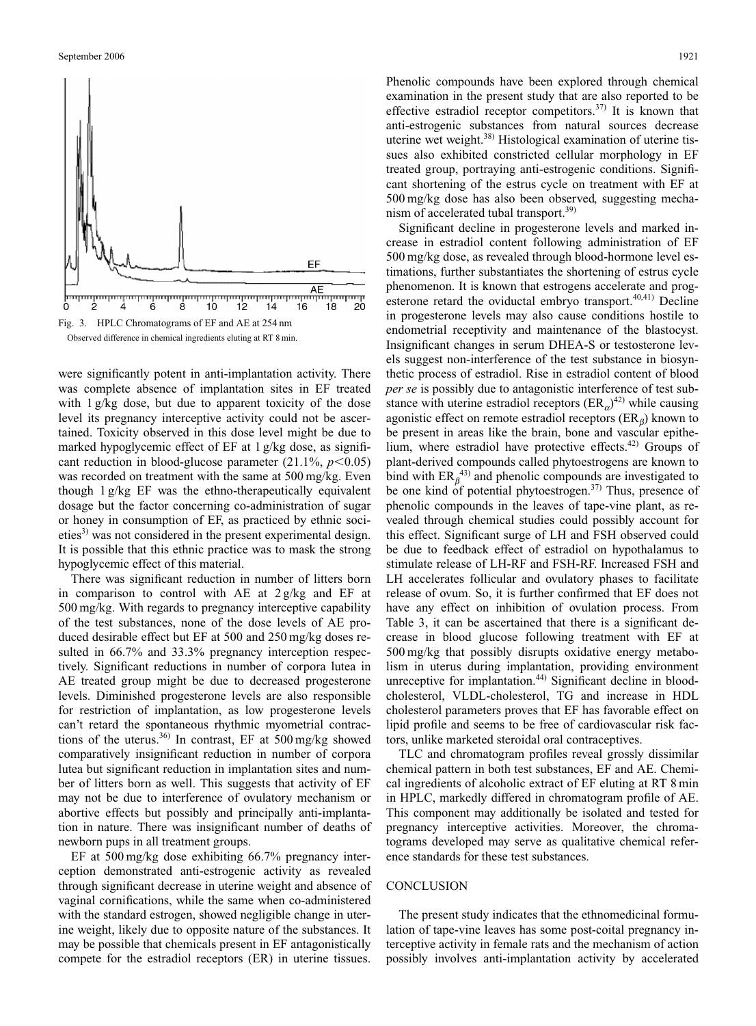

Observed difference in chemical ingredients eluting at RT 8 min.

were significantly potent in anti-implantation activity. There was complete absence of implantation sites in EF treated with 1 g/kg dose, but due to apparent toxicity of the dose level its pregnancy interceptive activity could not be ascertained. Toxicity observed in this dose level might be due to marked hypoglycemic effect of EF at 1 g/kg dose, as significant reduction in blood-glucose parameter  $(21.1\%, p<0.05)$ was recorded on treatment with the same at 500 mg/kg. Even though 1 g/kg EF was the ethno-therapeutically equivalent dosage but the factor concerning co-administration of sugar or honey in consumption of EF, as practiced by ethnic societies $^{3)}$  was not considered in the present experimental design. It is possible that this ethnic practice was to mask the strong hypoglycemic effect of this material.

There was significant reduction in number of litters born in comparison to control with AE at 2 g/kg and EF at 500 mg/kg. With regards to pregnancy interceptive capability of the test substances, none of the dose levels of AE produced desirable effect but EF at 500 and 250 mg/kg doses resulted in  $66.7\%$  and  $33.3\%$  pregnancy interception respectively. Significant reductions in number of corpora lutea in AE treated group might be due to decreased progesterone levels. Diminished progesterone levels are also responsible for restriction of implantation, as low progesterone levels can't retard the spontaneous rhythmic myometrial contractions of the uterus.<sup>36)</sup> In contrast, EF at  $500 \text{ mg/kg}$  showed comparatively insignificant reduction in number of corpora lutea but significant reduction in implantation sites and number of litters born as well. This suggests that activity of EF may not be due to interference of ovulatory mechanism or abortive effects but possibly and principally anti-implantation in nature. There was insignificant number of deaths of newborn pups in all treatment groups.

EF at 500 mg/kg dose exhibiting 66.7% pregnancy interception demonstrated anti-estrogenic activity as revealed through significant decrease in uterine weight and absence of vaginal cornifications, while the same when co-administered with the standard estrogen, showed negligible change in uterine weight, likely due to opposite nature of the substances. It may be possible that chemicals present in EF antagonistically compete for the estradiol receptors (ER) in uterine tissues.

Phenolic compounds have been explored through chemical examination in the present study that are also reported to be effective estradiol receptor competitors.<sup>37)</sup> It is known that anti-estrogenic substances from natural sources decrease uterine wet weight.38) Histological examination of uterine tissues also exhibited constricted cellular morphology in EF treated group, portraying anti-estrogenic conditions. Significant shortening of the estrus cycle on treatment with EF at

500 mg/kg dose has also been observed, suggesting mecha-

nism of accelerated tubal transport.<sup>39)</sup> Significant decline in progesterone levels and marked increase in estradiol content following administration of EF 500 mg/kg dose, as revealed through blood-hormone level estimations, further substantiates the shortening of estrus cycle phenomenon. It is known that estrogens accelerate and progesterone retard the oviductal embryo transport. $40,41)$  Decline in progesterone levels may also cause conditions hostile to endometrial receptivity and maintenance of the blastocyst. Insignificant changes in serum DHEA-S or testosterone levels suggest non-interference of the test substance in biosynthetic process of estradiol. Rise in estradiol content of blood *per se* is possibly due to antagonistic interference of test substance with uterine estradiol receptors  $(ER_{\alpha})^{42}$  while causing agonistic effect on remote estradiol receptors  $(ER_\beta)$  known to be present in areas like the brain, bone and vascular epithelium, where estradiol have protective effects.<sup>42)</sup> Groups of plant-derived compounds called phytoestrogens are known to bind with  $ER_\beta^{(43)}$  and phenolic compounds are investigated to be one kind of potential phytoestrogen.<sup>37)</sup> Thus, presence of phenolic compounds in the leaves of tape-vine plant, as revealed through chemical studies could possibly account for this effect. Significant surge of LH and FSH observed could be due to feedback effect of estradiol on hypothalamus to stimulate release of LH-RF and FSH-RF. Increased FSH and LH accelerates follicular and ovulatory phases to facilitate release of ovum. So, it is further confirmed that EF does not have any effect on inhibition of ovulation process. From Table 3, it can be ascertained that there is a significant decrease in blood glucose following treatment with EF at 500 mg/kg that possibly disrupts oxidative energy metabolism in uterus during implantation, providing environment unreceptive for implantation.<sup>44)</sup> Significant decline in bloodcholesterol, VLDL-cholesterol, TG and increase in HDL cholesterol parameters proves that EF has favorable effect on lipid profile and seems to be free of cardiovascular risk factors, unlike marketed steroidal oral contraceptives.

TLC and chromatogram profiles reveal grossly dissimilar chemical pattern in both test substances, EF and AE. Chemical ingredients of alcoholic extract of EF eluting at RT 8 min in HPLC, markedly differed in chromatogram profile of AE. This component may additionally be isolated and tested for pregnancy interceptive activities. Moreover, the chromatograms developed may serve as qualitative chemical reference standards for these test substances.

### **CONCLUSION**

The present study indicates that the ethnomedicinal formulation of tape-vine leaves has some post-coital pregnancy interceptive activity in female rats and the mechanism of action possibly involves anti-implantation activity by accelerated